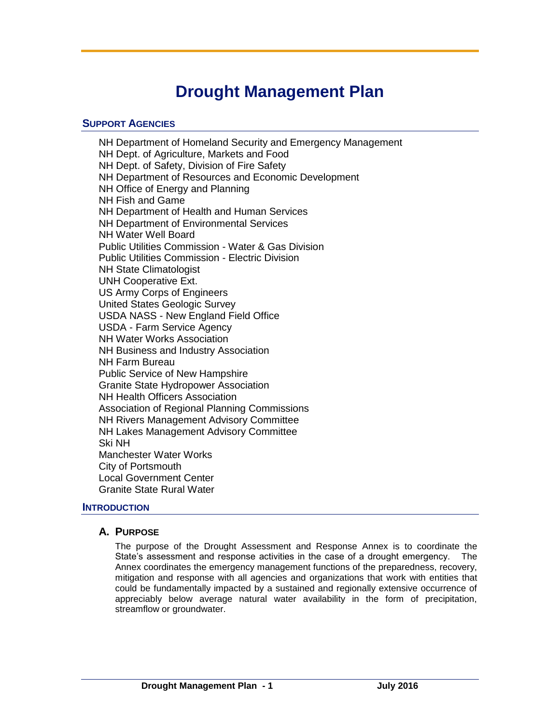# **Drought Management Plan**

# **SUPPORT AGENCIES**

NH Department of Homeland Security and Emergency Management NH Dept. of Agriculture, Markets and Food NH Dept. of Safety, Division of Fire Safety NH Department of Resources and Economic Development NH Office of Energy and Planning NH Fish and Game NH Department of Health and Human Services NH Department of Environmental Services NH Water Well Board Public Utilities Commission - Water & Gas Division Public Utilities Commission - Electric Division NH State Climatologist UNH Cooperative Ext. US Army Corps of Engineers United States Geologic Survey USDA NASS - New England Field Office USDA - Farm Service Agency NH Water Works Association NH Business and Industry Association NH Farm Bureau Public Service of New Hampshire Granite State Hydropower Association NH Health Officers Association Association of Regional Planning Commissions NH Rivers Management Advisory Committee NH Lakes Management Advisory Committee Ski NH Manchester Water Works City of Portsmouth Local Government Center Granite State Rural Water

# **INTRODUCTION**

# **A. PURPOSE**

The purpose of the Drought Assessment and Response Annex is to coordinate the State's assessment and response activities in the case of a drought emergency. The Annex coordinates the emergency management functions of the preparedness, recovery, mitigation and response with all agencies and organizations that work with entities that could be fundamentally impacted by a sustained and regionally extensive occurrence of appreciably below average natural water availability in the form of precipitation, streamflow or groundwater.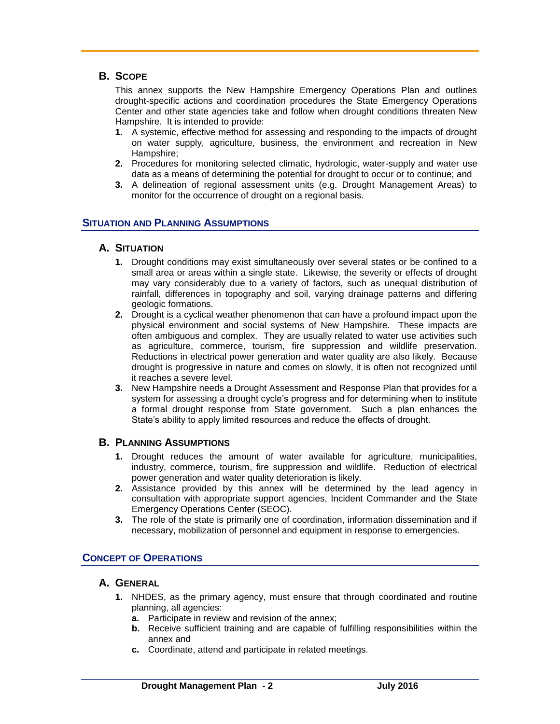# **B. SCOPE**

This annex supports the New Hampshire Emergency Operations Plan and outlines drought-specific actions and coordination procedures the State Emergency Operations Center and other state agencies take and follow when drought conditions threaten New Hampshire. It is intended to provide:

- **1.** A systemic, effective method for assessing and responding to the impacts of drought on water supply, agriculture, business, the environment and recreation in New Hampshire;
- **2.** Procedures for monitoring selected climatic, hydrologic, water-supply and water use data as a means of determining the potential for drought to occur or to continue; and
- **3.** A delineation of regional assessment units (e.g. Drought Management Areas) to monitor for the occurrence of drought on a regional basis.

## **SITUATION AND PLANNING ASSUMPTIONS**

## **A. SITUATION**

- **1.** Drought conditions may exist simultaneously over several states or be confined to a small area or areas within a single state. Likewise, the severity or effects of drought may vary considerably due to a variety of factors, such as unequal distribution of rainfall, differences in topography and soil, varying drainage patterns and differing geologic formations.
- **2.** Drought is a cyclical weather phenomenon that can have a profound impact upon the physical environment and social systems of New Hampshire. These impacts are often ambiguous and complex. They are usually related to water use activities such as agriculture, commerce, tourism, fire suppression and wildlife preservation. Reductions in electrical power generation and water quality are also likely. Because drought is progressive in nature and comes on slowly, it is often not recognized until it reaches a severe level.
- **3.** New Hampshire needs a Drought Assessment and Response Plan that provides for a system for assessing a drought cycle's progress and for determining when to institute a formal drought response from State government. Such a plan enhances the State's ability to apply limited resources and reduce the effects of drought.

#### **B. PLANNING ASSUMPTIONS**

- **1.** Drought reduces the amount of water available for agriculture, municipalities, industry, commerce, tourism, fire suppression and wildlife. Reduction of electrical power generation and water quality deterioration is likely.
- **2.** Assistance provided by this annex will be determined by the lead agency in consultation with appropriate support agencies, Incident Commander and the State Emergency Operations Center (SEOC).
- **3.** The role of the state is primarily one of coordination, information dissemination and if necessary, mobilization of personnel and equipment in response to emergencies.

#### **CONCEPT OF OPERATIONS**

## **A. GENERAL**

- **1.** NHDES, as the primary agency, must ensure that through coordinated and routine planning, all agencies:
	- **a.** Participate in review and revision of the annex;
	- **b.** Receive sufficient training and are capable of fulfilling responsibilities within the annex and
	- **c.** Coordinate, attend and participate in related meetings.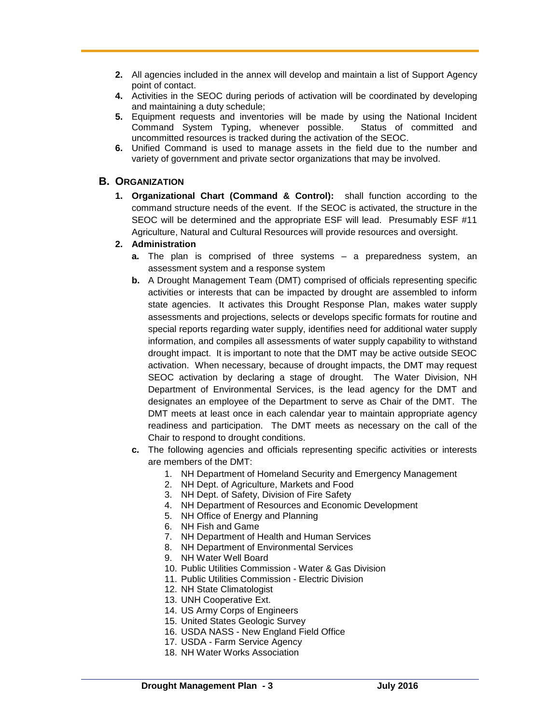- **2.** All agencies included in the annex will develop and maintain a list of Support Agency point of contact.
- **4.** Activities in the SEOC during periods of activation will be coordinated by developing and maintaining a duty schedule;
- **5.** Equipment requests and inventories will be made by using the National Incident Command System Typing, whenever possible. Status of committed and uncommitted resources is tracked during the activation of the SEOC.
- **6.** Unified Command is used to manage assets in the field due to the number and variety of government and private sector organizations that may be involved.

## **B. ORGANIZATION**

**1. Organizational Chart (Command & Control):** shall function according to the command structure needs of the event. If the SEOC is activated, the structure in the SEOC will be determined and the appropriate ESF will lead. Presumably ESF #11 Agriculture, Natural and Cultural Resources will provide resources and oversight.

#### **2. Administration**

- **a.** The plan is comprised of three systems a preparedness system, an assessment system and a response system
- **b.** A Drought Management Team (DMT) comprised of officials representing specific activities or interests that can be impacted by drought are assembled to inform state agencies. It activates this Drought Response Plan, makes water supply assessments and projections, selects or develops specific formats for routine and special reports regarding water supply, identifies need for additional water supply information, and compiles all assessments of water supply capability to withstand drought impact. It is important to note that the DMT may be active outside SEOC activation. When necessary, because of drought impacts, the DMT may request SEOC activation by declaring a stage of drought. The Water Division, NH Department of Environmental Services, is the lead agency for the DMT and designates an employee of the Department to serve as Chair of the DMT. The DMT meets at least once in each calendar year to maintain appropriate agency readiness and participation. The DMT meets as necessary on the call of the Chair to respond to drought conditions.
- **c.** The following agencies and officials representing specific activities or interests are members of the DMT:
	- 1. NH Department of Homeland Security and Emergency Management
	- 2. NH Dept. of Agriculture, Markets and Food
	- 3. NH Dept. of Safety, Division of Fire Safety
	- 4. NH Department of Resources and Economic Development
	- 5. NH Office of Energy and Planning
	- 6. NH Fish and Game
	- 7. NH Department of Health and Human Services
	- 8. NH Department of Environmental Services
	- 9. NH Water Well Board
	- 10. Public Utilities Commission Water & Gas Division
	- 11. Public Utilities Commission Electric Division
	- 12. NH State Climatologist
	- 13. UNH Cooperative Ext.
	- 14. US Army Corps of Engineers
	- 15. United States Geologic Survey
	- 16. USDA NASS New England Field Office
	- 17. USDA Farm Service Agency
	- 18. NH Water Works Association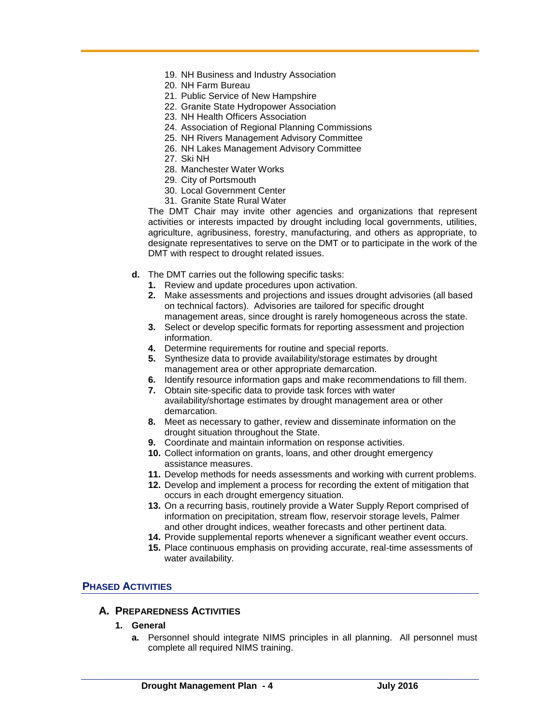- 19. NH Business and Industry Association
- 20. NH Farm Bureau
- 21. Public Service of New Hampshire
- 22. Granite State Hydropower Association
- 23. NH Health Officers Association
- 24. Association of Regional Planning Commissions
- 25. NH Rivers Management Advisory Committee
- 26. NH Lakes Management Advisory Committee
- 27. Ski NH
- 28. Manchester Water Works
- 29. City of Portsmouth
- 30. Local Government Center
- 31. Granite State Rural Water

The DMT Chair may invite other agencies and organizations that represent activities or interests impacted by drought including local governments, utilities, agriculture, agribusiness, forestry, manufacturing, and others as appropriate, to designate representatives to serve on the DMT or to participate in the work of the DMT with respect to drought related issues.

- **d.** The DMT carries out the following specific tasks:
	- **1.** Review and update procedures upon activation.
	- **2.** Make assessments and projections and issues drought advisories (all based on technical factors). Advisories are tailored for specific drought management areas, since drought is rarely homogeneous across the state.
	- **3.** Select or develop specific formats for reporting assessment and projection information.
	- **4.** Determine requirements for routine and special reports.
	- **5.** Synthesize data to provide availability/storage estimates by drought management area or other appropriate demarcation.
	- **6.** Identify resource information gaps and make recommendations to fill them.
	- **7.** Obtain site-specific data to provide task forces with water availability/shortage estimates by drought management area or other demarcation.
	- **8.** Meet as necessary to gather, review and disseminate information on the drought situation throughout the State.
	- **9.** Coordinate and maintain information on response activities.
	- **10.** Collect information on grants, loans, and other drought emergency assistance measures.
	- **11.** Develop methods for needs assessments and working with current problems.
	- **12.** Develop and implement a process for recording the extent of mitigation that occurs in each drought emergency situation.
	- **13.** On a recurring basis, routinely provide a Water Supply Report comprised of information on precipitation, stream flow, reservoir storage levels, Palmer and other drought indices, weather forecasts and other pertinent data.
	- **14.** Provide supplemental reports whenever a significant weather event occurs.
	- **15.** Place continuous emphasis on providing accurate, real-time assessments of water availability.

#### **PHASED ACTIVITIES**

#### **A. PREPAREDNESS ACTIVITIES**

- **1. General**
	- **a.** Personnel should integrate NIMS principles in all planning. All personnel must complete all required NIMS training.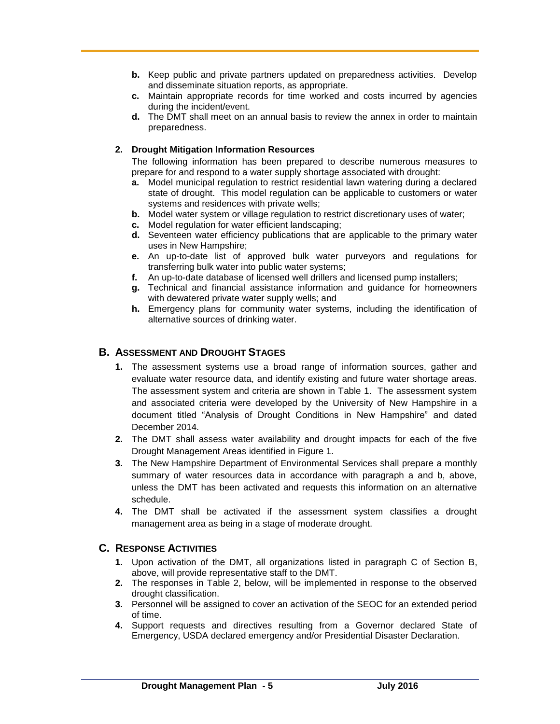- **b.** Keep public and private partners updated on preparedness activities. Develop and disseminate situation reports, as appropriate.
- **c.** Maintain appropriate records for time worked and costs incurred by agencies during the incident/event.
- **d.** The DMT shall meet on an annual basis to review the annex in order to maintain preparedness.

#### **2. Drought Mitigation Information Resources**

The following information has been prepared to describe numerous measures to prepare for and respond to a water supply shortage associated with drought:

- **a.** Model municipal regulation to restrict residential lawn watering during a declared state of drought. This model regulation can be applicable to customers or water systems and residences with private wells;
- **b.** Model water system or village regulation to restrict discretionary uses of water;
- **c.** Model regulation for water efficient landscaping;
- **d.** Seventeen water efficiency publications that are applicable to the primary water uses in New Hampshire;
- **e.** An up-to-date list of approved bulk water purveyors and regulations for transferring bulk water into public water systems;
- **f.** An up-to-date database of licensed well drillers and licensed pump installers;
- **g.** Technical and financial assistance information and guidance for homeowners with dewatered private water supply wells; and
- **h.** Emergency plans for community water systems, including the identification of alternative sources of drinking water.

# **B. ASSESSMENT AND DROUGHT STAGES**

- **1.** The assessment systems use a broad range of information sources, gather and evaluate water resource data, and identify existing and future water shortage areas. The assessment system and criteria are shown in Table 1. The assessment system and associated criteria were developed by the University of New Hampshire in a document titled "Analysis of Drought Conditions in New Hampshire" and dated December 2014.
- **2.** The DMT shall assess water availability and drought impacts for each of the five Drought Management Areas identified in Figure 1.
- **3.** The New Hampshire Department of Environmental Services shall prepare a monthly summary of water resources data in accordance with paragraph a and b, above, unless the DMT has been activated and requests this information on an alternative schedule.
- **4.** The DMT shall be activated if the assessment system classifies a drought management area as being in a stage of moderate drought.

#### **C. RESPONSE ACTIVITIES**

- **1.** Upon activation of the DMT, all organizations listed in paragraph C of Section B, above, will provide representative staff to the DMT.
- **2.** The responses in Table 2, below, will be implemented in response to the observed drought classification.
- **3.** Personnel will be assigned to cover an activation of the SEOC for an extended period of time.
- **4.** Support requests and directives resulting from a Governor declared State of Emergency, USDA declared emergency and/or Presidential Disaster Declaration.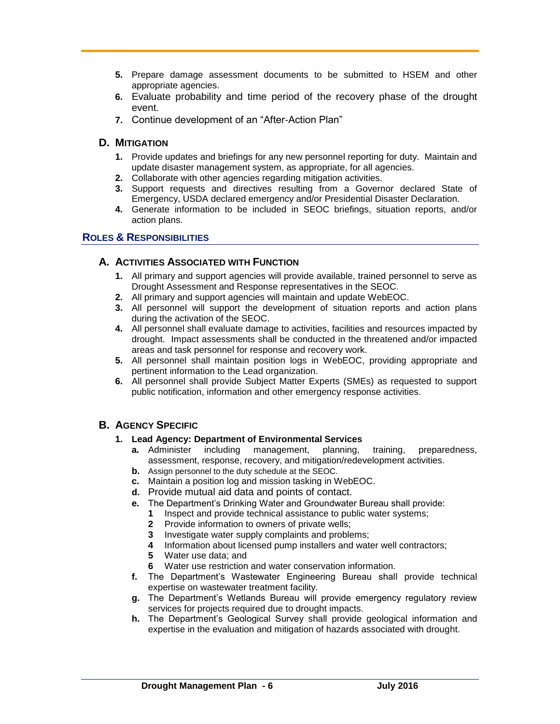- **5.** Prepare damage assessment documents to be submitted to HSEM and other appropriate agencies.
- **6.** Evaluate probability and time period of the recovery phase of the drought event.
- **7.** Continue development of an "After-Action Plan"

# **D. MITIGATION**

- **1.** Provide updates and briefings for any new personnel reporting for duty. Maintain and update disaster management system, as appropriate, for all agencies.
- **2.** Collaborate with other agencies regarding mitigation activities.
- **3.** Support requests and directives resulting from a Governor declared State of Emergency, USDA declared emergency and/or Presidential Disaster Declaration.
- **4.** Generate information to be included in SEOC briefings, situation reports, and/or action plans.

# **ROLES & RESPONSIBILITIES**

## **A. ACTIVITIES ASSOCIATED WITH FUNCTION**

- **1.** All primary and support agencies will provide available, trained personnel to serve as Drought Assessment and Response representatives in the SEOC.
- **2.** All primary and support agencies will maintain and update WebEOC.
- **3.** All personnel will support the development of situation reports and action plans during the activation of the SEOC.
- **4.** All personnel shall evaluate damage to activities, facilities and resources impacted by drought. Impact assessments shall be conducted in the threatened and/or impacted areas and task personnel for response and recovery work.
- **5.** All personnel shall maintain position logs in WebEOC, providing appropriate and pertinent information to the Lead organization.
- **6.** All personnel shall provide Subject Matter Experts (SMEs) as requested to support public notification, information and other emergency response activities.

# **B. AGENCY SPECIFIC**

#### **1. Lead Agency: Department of Environmental Services**

- **a.** Administer including management, planning, training, preparedness, assessment, response, recovery, and mitigation/redevelopment activities.
- **b.** Assign personnel to the duty schedule at the SEOC.
- **c.** Maintain a position log and mission tasking in WebEOC.
- **d.** Provide mutual aid data and points of contact.
- **e.** The Department's Drinking Water and Groundwater Bureau shall provide:
	- **1** Inspect and provide technical assistance to public water systems;
	- **2** Provide information to owners of private wells;
	- **3** Investigate water supply complaints and problems;
	- **4** Information about licensed pump installers and water well contractors;
	- **5** Water use data; and
	- **6** Water use restriction and water conservation information.
- **f.** The Department's Wastewater Engineering Bureau shall provide technical expertise on wastewater treatment facility.
- **g.** The Department's Wetlands Bureau will provide emergency regulatory review services for projects required due to drought impacts.
- **h.** The Department's Geological Survey shall provide geological information and expertise in the evaluation and mitigation of hazards associated with drought.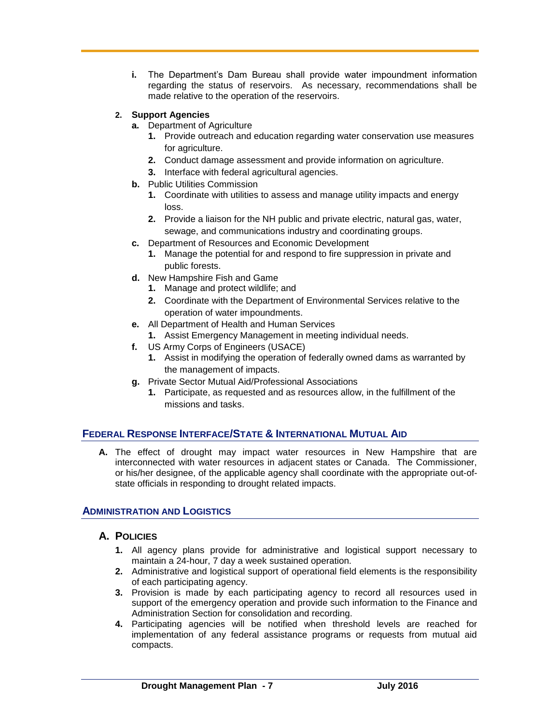**i.** The Department's Dam Bureau shall provide water impoundment information regarding the status of reservoirs. As necessary, recommendations shall be made relative to the operation of the reservoirs.

#### **2. Support Agencies**

- **a.** Department of Agriculture
	- **1.** Provide outreach and education regarding water conservation use measures for agriculture.
	- **2.** Conduct damage assessment and provide information on agriculture.
	- **3.** Interface with federal agricultural agencies.
- **b.** Public Utilities Commission
	- **1.** Coordinate with utilities to assess and manage utility impacts and energy loss.
	- **2.** Provide a liaison for the NH public and private electric, natural gas, water, sewage, and communications industry and coordinating groups.
- **c.** Department of Resources and Economic Development
	- **1.** Manage the potential for and respond to fire suppression in private and public forests.
- **d.** New Hampshire Fish and Game
	- **1.** Manage and protect wildlife; and
	- **2.** Coordinate with the Department of Environmental Services relative to the operation of water impoundments.
- **e.** All Department of Health and Human Services
	- **1.** Assist Emergency Management in meeting individual needs.
- **f.** US Army Corps of Engineers (USACE)
	- **1.** Assist in modifying the operation of federally owned dams as warranted by the management of impacts.
- **g.** Private Sector Mutual Aid/Professional Associations
	- **1.** Participate, as requested and as resources allow, in the fulfillment of the missions and tasks.

# **FEDERAL RESPONSE INTERFACE/STATE & INTERNATIONAL MUTUAL AID**

**A.** The effect of drought may impact water resources in New Hampshire that are interconnected with water resources in adjacent states or Canada. The Commissioner, or his/her designee, of the applicable agency shall coordinate with the appropriate out-ofstate officials in responding to drought related impacts.

# **ADMINISTRATION AND LOGISTICS**

#### **A. POLICIES**

- **1.** All agency plans provide for administrative and logistical support necessary to maintain a 24-hour, 7 day a week sustained operation.
- **2.** Administrative and logistical support of operational field elements is the responsibility of each participating agency.
- **3.** Provision is made by each participating agency to record all resources used in support of the emergency operation and provide such information to the Finance and Administration Section for consolidation and recording.
- **4.** Participating agencies will be notified when threshold levels are reached for implementation of any federal assistance programs or requests from mutual aid compacts.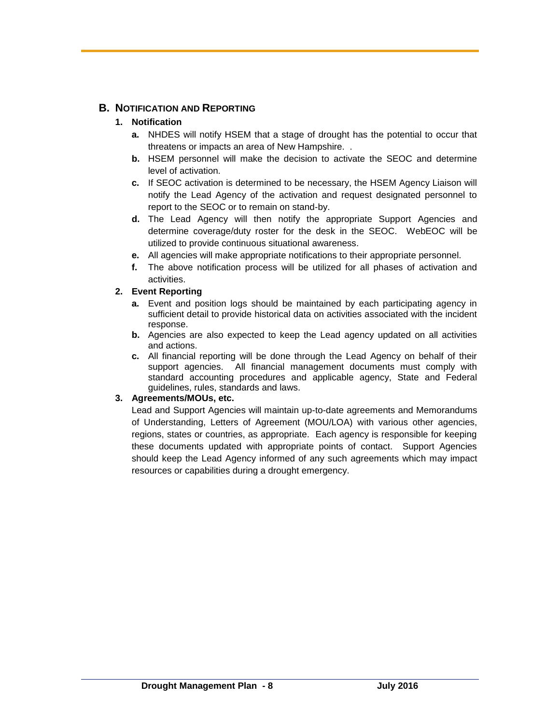# **B. NOTIFICATION AND REPORTING**

# **1. Notification**

- **a.** NHDES will notify HSEM that a stage of drought has the potential to occur that threatens or impacts an area of New Hampshire. .
- **b.** HSEM personnel will make the decision to activate the SEOC and determine level of activation.
- **c.** If SEOC activation is determined to be necessary, the HSEM Agency Liaison will notify the Lead Agency of the activation and request designated personnel to report to the SEOC or to remain on stand-by.
- **d.** The Lead Agency will then notify the appropriate Support Agencies and determine coverage/duty roster for the desk in the SEOC. WebEOC will be utilized to provide continuous situational awareness.
- **e.** All agencies will make appropriate notifications to their appropriate personnel.
- **f.** The above notification process will be utilized for all phases of activation and activities.

## **2. Event Reporting**

- **a.** Event and position logs should be maintained by each participating agency in sufficient detail to provide historical data on activities associated with the incident response.
- **b.** Agencies are also expected to keep the Lead agency updated on all activities and actions.
- **c.** All financial reporting will be done through the Lead Agency on behalf of their support agencies. All financial management documents must comply with standard accounting procedures and applicable agency, State and Federal guidelines, rules, standards and laws.

# **3. Agreements/MOUs, etc.**

Lead and Support Agencies will maintain up-to-date agreements and Memorandums of Understanding, Letters of Agreement (MOU/LOA) with various other agencies, regions, states or countries, as appropriate. Each agency is responsible for keeping these documents updated with appropriate points of contact. Support Agencies should keep the Lead Agency informed of any such agreements which may impact resources or capabilities during a drought emergency.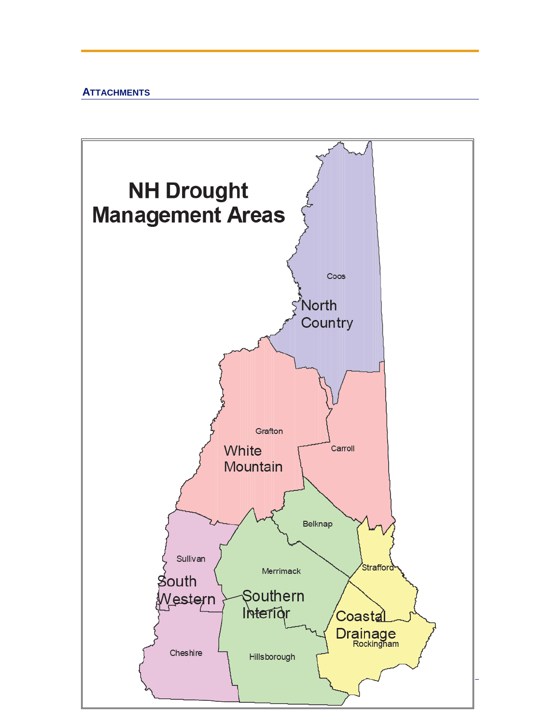# **ATTACHMENTS**

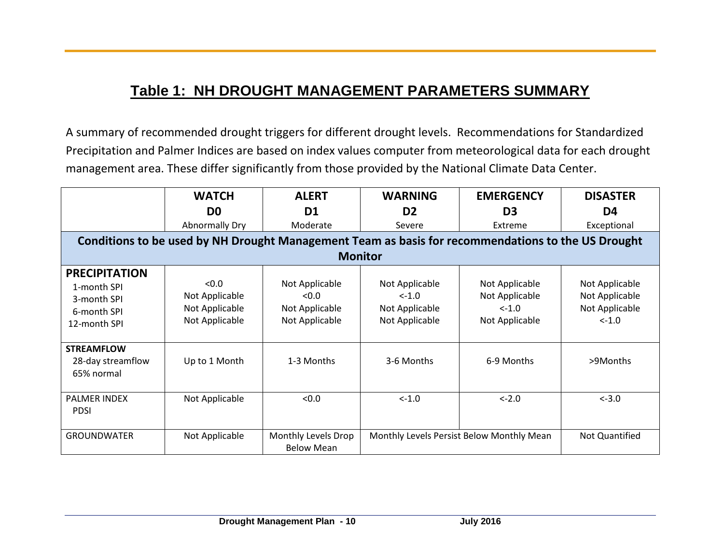# **Table 1: NH DROUGHT MANAGEMENT PARAMETERS SUMMARY**

A summary of recommended drought triggers for different drought levels. Recommendations for Standardized Precipitation and Palmer Indices are based on index values computer from meteorological data for each drought management area. These differ significantly from those provided by the National Climate Data Center.

|                                                                                                    | <b>WATCH</b>                                                | <b>ALERT</b>                                                | <b>WARNING</b>                                                 | <b>EMERGENCY</b>                                               | <b>DISASTER</b>                                                |  |  |
|----------------------------------------------------------------------------------------------------|-------------------------------------------------------------|-------------------------------------------------------------|----------------------------------------------------------------|----------------------------------------------------------------|----------------------------------------------------------------|--|--|
|                                                                                                    | D <sub>0</sub>                                              | D <sub>1</sub>                                              | D <sub>2</sub>                                                 | D <sub>3</sub>                                                 | D4                                                             |  |  |
|                                                                                                    | Abnormally Dry                                              | Moderate                                                    | Severe                                                         | Extreme                                                        | Exceptional                                                    |  |  |
| Conditions to be used by NH Drought Management Team as basis for recommendations to the US Drought |                                                             |                                                             |                                                                |                                                                |                                                                |  |  |
| <b>Monitor</b>                                                                                     |                                                             |                                                             |                                                                |                                                                |                                                                |  |  |
| <b>PRECIPITATION</b><br>1-month SPI<br>3-month SPI<br>6-month SPI<br>12-month SPI                  | < 0.0<br>Not Applicable<br>Not Applicable<br>Not Applicable | Not Applicable<br>< 0.0<br>Not Applicable<br>Not Applicable | Not Applicable<br>$< -1.0$<br>Not Applicable<br>Not Applicable | Not Applicable<br>Not Applicable<br>$< -1.0$<br>Not Applicable | Not Applicable<br>Not Applicable<br>Not Applicable<br>$< -1.0$ |  |  |
| <b>STREAMFLOW</b><br>28-day streamflow<br>65% normal                                               | Up to 1 Month                                               | 1-3 Months                                                  | 3-6 Months                                                     | 6-9 Months                                                     | >9Months                                                       |  |  |
| <b>PALMER INDEX</b><br><b>PDSI</b>                                                                 | Not Applicable                                              | < 0.0                                                       | $< -1.0$                                                       | $<-2.0$                                                        | $< -3.0$                                                       |  |  |
| <b>GROUNDWATER</b>                                                                                 | Not Applicable                                              | Monthly Levels Drop<br><b>Below Mean</b>                    |                                                                | Monthly Levels Persist Below Monthly Mean                      | Not Quantified                                                 |  |  |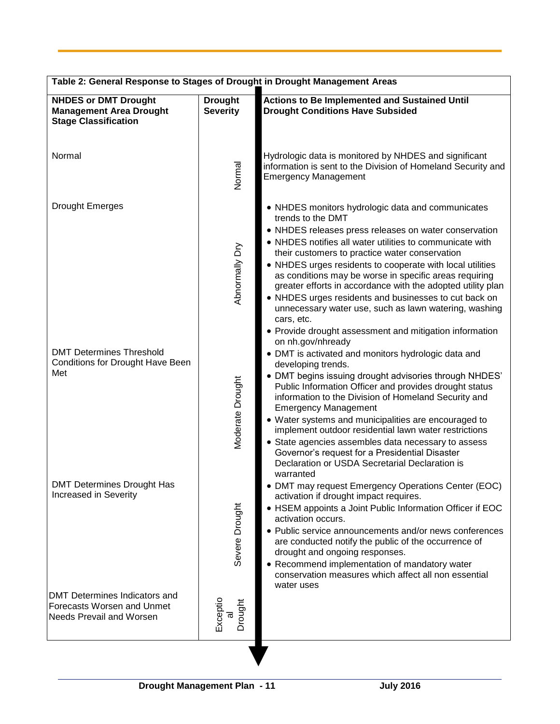| Table 2: General Response to Stages of Drought in Drought Management Areas                                      |                                   |                                                                                                                                                                                                                                                                                                                                                                                                                                                                                                                                                                                                                                                           |  |  |  |
|-----------------------------------------------------------------------------------------------------------------|-----------------------------------|-----------------------------------------------------------------------------------------------------------------------------------------------------------------------------------------------------------------------------------------------------------------------------------------------------------------------------------------------------------------------------------------------------------------------------------------------------------------------------------------------------------------------------------------------------------------------------------------------------------------------------------------------------------|--|--|--|
| <b>NHDES or DMT Drought</b><br><b>Management Area Drought</b><br><b>Stage Classification</b>                    | <b>Drought</b><br><b>Severity</b> | <b>Actions to Be Implemented and Sustained Until</b><br><b>Drought Conditions Have Subsided</b>                                                                                                                                                                                                                                                                                                                                                                                                                                                                                                                                                           |  |  |  |
| Normal                                                                                                          | Normal                            | Hydrologic data is monitored by NHDES and significant<br>information is sent to the Division of Homeland Security and<br><b>Emergency Management</b>                                                                                                                                                                                                                                                                                                                                                                                                                                                                                                      |  |  |  |
| <b>Drought Emerges</b>                                                                                          | Abnormally Dry                    | • NHDES monitors hydrologic data and communicates<br>trends to the DMT<br>• NHDES releases press releases on water conservation<br>• NHDES notifies all water utilities to communicate with<br>their customers to practice water conservation<br>• NHDES urges residents to cooperate with local utilities<br>as conditions may be worse in specific areas requiring<br>greater efforts in accordance with the adopted utility plan<br>• NHDES urges residents and businesses to cut back on<br>unnecessary water use, such as lawn watering, washing<br>cars, etc.<br>• Provide drought assessment and mitigation information                            |  |  |  |
| <b>DMT Determines Threshold</b><br>Conditions for Drought Have Been<br>Met<br><b>DMT Determines Drought Has</b> | Moderate Drought                  | on nh.gov/nhready<br>• DMT is activated and monitors hydrologic data and<br>developing trends.<br>• DMT begins issuing drought advisories through NHDES'<br>Public Information Officer and provides drought status<br>information to the Division of Homeland Security and<br><b>Emergency Management</b><br>• Water systems and municipalities are encouraged to<br>implement outdoor residential lawn water restrictions<br>• State agencies assembles data necessary to assess<br>Governor's request for a Presidential Disaster<br>Declaration or USDA Secretarial Declaration is<br>warranted<br>• DMT may request Emergency Operations Center (EOC) |  |  |  |
| Increased in Severity                                                                                           | Severe Drought                    | activation if drought impact requires.<br>• HSEM appoints a Joint Public Information Officer if EOC<br>activation occurs.<br>• Public service announcements and/or news conferences<br>are conducted notify the public of the occurrence of<br>drought and ongoing responses.<br>• Recommend implementation of mandatory water<br>conservation measures which affect all non essential<br>water uses                                                                                                                                                                                                                                                      |  |  |  |
| DMT Determines Indicators and<br>Forecasts Worsen and Unmet<br>Needs Prevail and Worsen                         | Exceptio<br>Drought<br>त्त        |                                                                                                                                                                                                                                                                                                                                                                                                                                                                                                                                                                                                                                                           |  |  |  |
|                                                                                                                 |                                   |                                                                                                                                                                                                                                                                                                                                                                                                                                                                                                                                                                                                                                                           |  |  |  |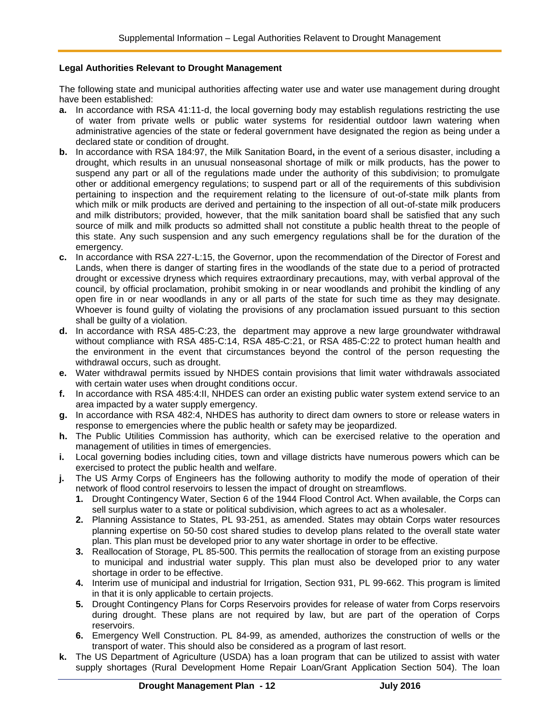#### **Legal Authorities Relevant to Drought Management**

The following state and municipal authorities affecting water use and water use management during drought have been established:

- **a.** In accordance with RSA 41:11-d, the local governing body may establish regulations restricting the use of water from private wells or public water systems for residential outdoor lawn watering when administrative agencies of the state or federal government have designated the region as being under a declared state or condition of drought.
- **b.** In accordance with RSA 184:97, the Milk Sanitation Board**,** in the event of a serious disaster, including a drought, which results in an unusual nonseasonal shortage of milk or milk products, has the power to suspend any part or all of the regulations made under the authority of this subdivision; to promulgate other or additional emergency regulations; to suspend part or all of the requirements of this subdivision pertaining to inspection and the requirement relating to the licensure of out-of-state milk plants from which milk or milk products are derived and pertaining to the inspection of all out-of-state milk producers and milk distributors; provided, however, that the milk sanitation board shall be satisfied that any such source of milk and milk products so admitted shall not constitute a public health threat to the people of this state. Any such suspension and any such emergency regulations shall be for the duration of the emergency.
- **c.** In accordance with RSA 227-L:15, the Governor, upon the recommendation of the Director of Forest and Lands, when there is danger of starting fires in the woodlands of the state due to a period of protracted drought or excessive dryness which requires extraordinary precautions, may, with verbal approval of the council, by official proclamation, prohibit smoking in or near woodlands and prohibit the kindling of any open fire in or near woodlands in any or all parts of the state for such time as they may designate. Whoever is found guilty of violating the provisions of any proclamation issued pursuant to this section shall be guilty of a violation.
- **d.** In accordance with RSA 485-C:23, the department may approve a new large groundwater withdrawal without compliance with RSA 485-C:14, RSA 485-C:21, or RSA 485-C:22 to protect human health and the environment in the event that circumstances beyond the control of the person requesting the withdrawal occurs, such as drought.
- **e.** Water withdrawal permits issued by NHDES contain provisions that limit water withdrawals associated with certain water uses when drought conditions occur.
- **f.** In accordance with RSA 485:4:II, NHDES can order an existing public water system extend service to an area impacted by a water supply emergency.
- **g.** In accordance with RSA 482:4, NHDES has authority to direct dam owners to store or release waters in response to emergencies where the public health or safety may be jeopardized.
- **h.** The Public Utilities Commission has authority, which can be exercised relative to the operation and management of utilities in times of emergencies.
- **i.** Local governing bodies including cities, town and village districts have numerous powers which can be exercised to protect the public health and welfare.
- **j.** The US Army Corps of Engineers has the following authority to modify the mode of operation of their network of flood control reservoirs to lessen the impact of drought on streamflows.
	- **1.** Drought Contingency Water, Section 6 of the 1944 Flood Control Act. When available, the Corps can sell surplus water to a state or political subdivision, which agrees to act as a wholesaler.
	- **2.** Planning Assistance to States, PL 93-251, as amended. States may obtain Corps water resources planning expertise on 50-50 cost shared studies to develop plans related to the overall state water plan. This plan must be developed prior to any water shortage in order to be effective.
	- **3.** Reallocation of Storage, PL 85-500. This permits the reallocation of storage from an existing purpose to municipal and industrial water supply. This plan must also be developed prior to any water shortage in order to be effective.
	- **4.** Interim use of municipal and industrial for Irrigation, Section 931, PL 99-662. This program is limited in that it is only applicable to certain projects.
	- **5.** Drought Contingency Plans for Corps Reservoirs provides for release of water from Corps reservoirs during drought. These plans are not required by law, but are part of the operation of Corps reservoirs.
	- **6.** Emergency Well Construction. PL 84-99, as amended, authorizes the construction of wells or the transport of water. This should also be considered as a program of last resort.
- **k.** The US Department of Agriculture (USDA) has a loan program that can be utilized to assist with water supply shortages (Rural Development Home Repair Loan/Grant Application Section 504). The loan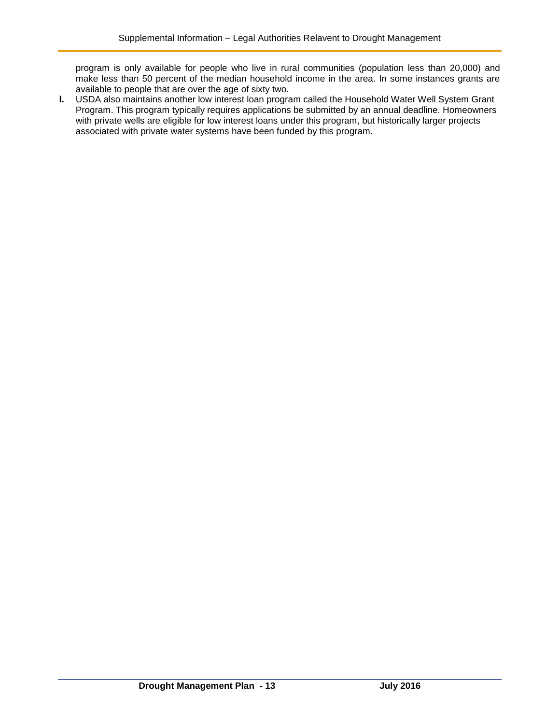program is only available for people who live in rural communities (population less than 20,000) and make less than 50 percent of the median household income in the area. In some instances grants are available to people that are over the age of sixty two.

**l.** USDA also maintains another low interest loan program called the Household Water Well System Grant Program. This program typically requires applications be submitted by an annual deadline. Homeowners with private wells are eligible for low interest loans under this program, but historically larger projects associated with private water systems have been funded by this program.